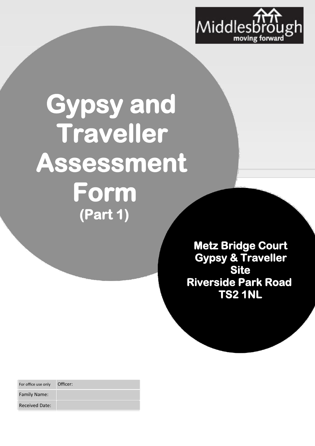

## **Gypsy and Traveller Assessment Form (Part 1)**

**Metz Bridge Court Gypsy & Traveller Site Riverside Park Road TS2 1NL** 

| For office use only   | Officer: |
|-----------------------|----------|
| <b>Family Name:</b>   |          |
| <b>Received Date:</b> |          |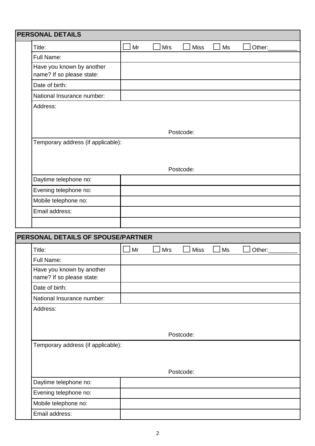| Title:                                                 | Mr | <b>Mrs</b> | <b>Miss</b> | Ms        | Other: |
|--------------------------------------------------------|----|------------|-------------|-----------|--------|
| Full Name:                                             |    |            |             |           |        |
| Have you known by another<br>name? If so please state: |    |            |             |           |        |
| Date of birth:                                         |    |            |             |           |        |
| National Insurance number:                             |    |            |             |           |        |
| Address:                                               |    |            |             |           |        |
|                                                        |    |            |             |           |        |
|                                                        |    |            | Postcode:   |           |        |
| Temporary address (if applicable):                     |    |            |             |           |        |
|                                                        |    |            |             |           |        |
|                                                        |    |            |             |           |        |
|                                                        |    |            | Postcode:   |           |        |
| Daytime telephone no:                                  |    |            |             |           |        |
| Evening telephone no:                                  |    |            |             |           |        |
| Mobile telephone no:                                   |    |            |             |           |        |
| Email address:                                         |    |            |             |           |        |
|                                                        |    |            |             |           |        |
| PERSONAL DETAILS OF SPOUSE/PARTNER                     |    |            |             |           |        |
| Title:                                                 | Mr | <b>Mrs</b> | <b>Miss</b> | <b>Ms</b> | Other: |
| Full Name:                                             |    |            |             |           |        |
| Have you known by another                              |    |            |             |           |        |
|                                                        |    |            |             |           |        |
| name? If so please state:<br>Date of birth:            |    |            |             |           |        |
| National Insurance number:                             |    |            |             |           |        |
| Address:                                               |    |            |             |           |        |
|                                                        |    |            |             |           |        |
|                                                        |    |            |             |           |        |
|                                                        |    |            | Postcode:   |           |        |
| Temporary address (if applicable):                     |    |            |             |           |        |
|                                                        |    |            |             |           |        |
|                                                        |    |            |             |           |        |
|                                                        |    |            | Postcode:   |           |        |
| Daytime telephone no:                                  |    |            |             |           |        |
| Evening telephone no:<br>Mobile telephone no:          |    |            |             |           |        |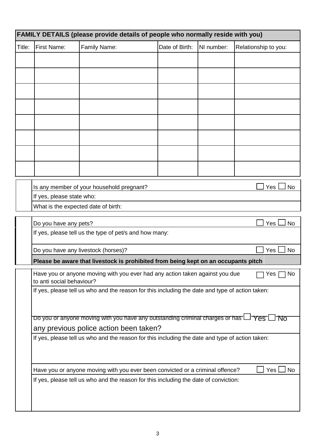|        |                                     | FAMILY DETAILS (please provide details of people who normally reside with you)                                   |                |            |                      |
|--------|-------------------------------------|------------------------------------------------------------------------------------------------------------------|----------------|------------|----------------------|
| Title: | <b>First Name:</b>                  | Family Name:                                                                                                     | Date of Birth: | NI number: | Relationship to you: |
|        |                                     |                                                                                                                  |                |            |                      |
|        |                                     |                                                                                                                  |                |            |                      |
|        |                                     |                                                                                                                  |                |            |                      |
|        |                                     |                                                                                                                  |                |            |                      |
|        |                                     |                                                                                                                  |                |            |                      |
|        |                                     |                                                                                                                  |                |            |                      |
|        |                                     |                                                                                                                  |                |            |                      |
|        |                                     |                                                                                                                  |                |            |                      |
|        |                                     |                                                                                                                  |                |            |                      |
|        |                                     |                                                                                                                  |                |            |                      |
|        |                                     | Is any member of your household pregnant?                                                                        |                |            | Yes<br><b>No</b>     |
|        | If yes, please state who:           |                                                                                                                  |                |            |                      |
|        | What is the expected date of birth: |                                                                                                                  |                |            |                      |
|        | Do you have any pets?               |                                                                                                                  |                |            | Yes<br><b>No</b>     |
|        |                                     | If yes, please tell us the type of pet/s and how many:                                                           |                |            |                      |
|        |                                     | Do you have any livestock (horses)?                                                                              |                |            | Yes<br><b>No</b>     |
|        |                                     | Please be aware that livestock is prohibited from being kept on an occupants pitch                               |                |            |                      |
|        | to anti social behaviour?           | Have you or anyone moving with you ever had any action taken against you due                                     |                |            | No<br>Yes            |
|        |                                     | If yes, please tell us who and the reason for this including the date and type of action taken:                  |                |            |                      |
|        |                                     |                                                                                                                  |                |            |                      |
|        |                                     | Do you or anyone moving with you have any outstanding criminal charges or has $\Box \forall$ es $\Box \forall$ o |                |            |                      |
|        |                                     | any previous police action been taken?                                                                           |                |            |                      |
|        |                                     | If yes, please tell us who and the reason for this including the date and type of action taken:                  |                |            |                      |
|        |                                     |                                                                                                                  |                |            |                      |
|        |                                     | Have you or anyone moving with you ever been convicted or a criminal offence?                                    |                |            | Yes  <br><b>No</b>   |
|        |                                     | If yes, please tell us who and the reason for this including the date of conviction:                             |                |            |                      |
|        |                                     |                                                                                                                  |                |            |                      |
|        |                                     |                                                                                                                  |                |            |                      |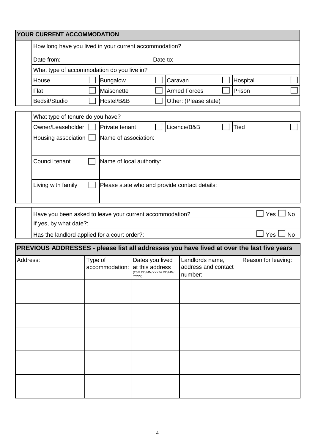|          | YOUR CURRENT ACCOMMODATION                                                                |         |                          |                                                                                          |         |                                                   |  |                     |           |
|----------|-------------------------------------------------------------------------------------------|---------|--------------------------|------------------------------------------------------------------------------------------|---------|---------------------------------------------------|--|---------------------|-----------|
|          | How long have you lived in your current accommodation?                                    |         |                          |                                                                                          |         |                                                   |  |                     |           |
|          | Date from:<br>Date to:                                                                    |         |                          |                                                                                          |         |                                                   |  |                     |           |
|          | What type of accommodation do you live in?                                                |         |                          |                                                                                          |         |                                                   |  |                     |           |
|          | House                                                                                     |         | Bungalow                 |                                                                                          | Caravan |                                                   |  | Hospital            |           |
|          | Flat                                                                                      |         | Maisonette               |                                                                                          |         | <b>Armed Forces</b>                               |  | Prison              |           |
|          | Bedsit/Studio                                                                             |         | Hostel/B&B               |                                                                                          |         | Other: (Please state)                             |  |                     |           |
|          | What type of tenure do you have?                                                          |         |                          |                                                                                          |         |                                                   |  |                     |           |
|          | Owner/Leaseholder                                                                         |         | Private tenant           |                                                                                          |         | Licence/B&B                                       |  | Tied                |           |
|          | Housing association                                                                       |         | Name of association:     |                                                                                          |         |                                                   |  |                     |           |
|          |                                                                                           |         |                          |                                                                                          |         |                                                   |  |                     |           |
|          | Council tenant                                                                            |         | Name of local authority: |                                                                                          |         |                                                   |  |                     |           |
|          | Living with family                                                                        |         |                          |                                                                                          |         | Please state who and provide contact details:     |  |                     |           |
|          |                                                                                           |         |                          |                                                                                          |         |                                                   |  | Yes                 | <b>No</b> |
|          | Have you been asked to leave your current accommodation?<br>If yes, by what date?:        |         |                          |                                                                                          |         |                                                   |  |                     |           |
|          | Has the landlord applied for a court order?:                                              |         |                          |                                                                                          |         |                                                   |  | Yes                 | <b>No</b> |
|          | PREVIOUS ADDRESSES - please list all addresses you have lived at over the last five years |         |                          |                                                                                          |         |                                                   |  |                     |           |
| Address: |                                                                                           | Type of |                          | Dates you lived<br>accommodation: at this address<br>(from DD/MM/YYY to DD/MM/<br>YYYY): |         | Landlords name,<br>address and contact<br>number: |  | Reason for leaving: |           |
|          |                                                                                           |         |                          |                                                                                          |         |                                                   |  |                     |           |
|          |                                                                                           |         |                          |                                                                                          |         |                                                   |  |                     |           |
|          |                                                                                           |         |                          |                                                                                          |         |                                                   |  |                     |           |
|          |                                                                                           |         |                          |                                                                                          |         |                                                   |  |                     |           |
|          |                                                                                           |         |                          |                                                                                          |         |                                                   |  |                     |           |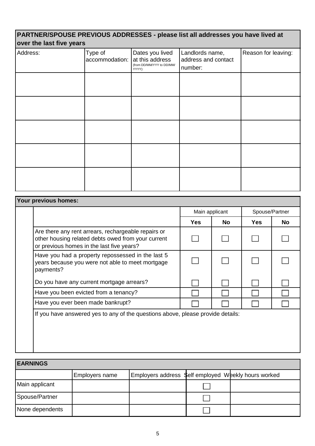## **PARTNER/SPOUSE PREVIOUS ADDRESSES - please list all addresses you have lived at over the last five years**

| Address: | Type of<br>accommodation: | Dates you lived<br>at this address<br>(from DD/MM/YYY to DD/MM/<br>YYYY): | Landlords name,<br>address and contact<br>number: | Reason for leaving: |
|----------|---------------------------|---------------------------------------------------------------------------|---------------------------------------------------|---------------------|
|          |                           |                                                                           |                                                   |                     |
|          |                           |                                                                           |                                                   |                     |
|          |                           |                                                                           |                                                   |                     |
|          |                           |                                                                           |                                                   |                     |
|          |                           |                                                                           |                                                   |                     |

| Your previous homes:                                                                                                                                   |                |           |                |    |
|--------------------------------------------------------------------------------------------------------------------------------------------------------|----------------|-----------|----------------|----|
|                                                                                                                                                        | Main applicant |           | Spouse/Partner |    |
|                                                                                                                                                        | <b>Yes</b>     | <b>No</b> | <b>Yes</b>     | No |
| Are there any rent arrears, rechargeable repairs or<br>other housing related debts owed from your current<br>or previous homes in the last five years? |                |           |                |    |
| Have you had a property repossessed in the last 5<br>years because you were not able to meet mortgage<br>payments?                                     |                |           |                |    |
| Do you have any current mortgage arrears?                                                                                                              |                |           |                |    |
| Have you been evicted from a tenancy?                                                                                                                  |                |           |                |    |
| Have you ever been made bankrupt?                                                                                                                      |                |           |                |    |
| If you have answered yes to any of the questions above, please provide details:                                                                        |                |           |                |    |

| <b>EARNINGS</b> |                |                                                      |  |
|-----------------|----------------|------------------------------------------------------|--|
|                 | Employers name | Employers address \$elf employed Weekly hours worked |  |
| Main applicant  |                |                                                      |  |
| Spouse/Partner  |                |                                                      |  |
| None dependents |                |                                                      |  |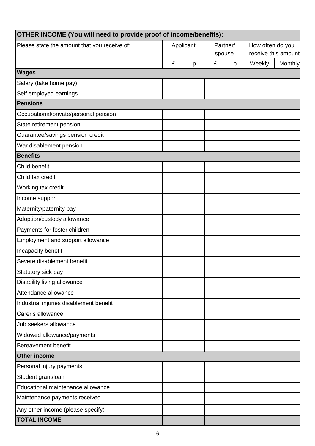| OTHER INCOME (You will need to provide proof of income/benefits): |           |          |                  |                     |  |  |
|-------------------------------------------------------------------|-----------|----------|------------------|---------------------|--|--|
| Please state the amount that you receive of:                      | Applicant | Partner/ | How often do you |                     |  |  |
|                                                                   |           | spouse   |                  | receive this amount |  |  |
|                                                                   | £<br>p    | £<br>p   | Weekly           | Monthly             |  |  |
| <b>Wages</b>                                                      |           |          |                  |                     |  |  |
| Salary (take home pay)                                            |           |          |                  |                     |  |  |
| Self employed earnings                                            |           |          |                  |                     |  |  |
| <b>Pensions</b>                                                   |           |          |                  |                     |  |  |
| Occupational/private/personal pension                             |           |          |                  |                     |  |  |
| State retirement pension                                          |           |          |                  |                     |  |  |
| Guarantee/savings pension credit                                  |           |          |                  |                     |  |  |
| War disablement pension                                           |           |          |                  |                     |  |  |
| <b>Benefits</b>                                                   |           |          |                  |                     |  |  |
| Child benefit                                                     |           |          |                  |                     |  |  |
| Child tax credit                                                  |           |          |                  |                     |  |  |
| Working tax credit                                                |           |          |                  |                     |  |  |
| Income support                                                    |           |          |                  |                     |  |  |
| Maternity/paternity pay                                           |           |          |                  |                     |  |  |
| Adoption/custody allowance                                        |           |          |                  |                     |  |  |
| Payments for foster children                                      |           |          |                  |                     |  |  |
| Employment and support allowance                                  |           |          |                  |                     |  |  |
| Incapacity benefit                                                |           |          |                  |                     |  |  |
| Severe disablement benefit                                        |           |          |                  |                     |  |  |
| Statutory sick pay                                                |           |          |                  |                     |  |  |
| Disability living allowance                                       |           |          |                  |                     |  |  |
| Attendance allowance                                              |           |          |                  |                     |  |  |
| Industrial injuries disablement benefit                           |           |          |                  |                     |  |  |
| Carer's allowance                                                 |           |          |                  |                     |  |  |
| Job seekers allowance                                             |           |          |                  |                     |  |  |
| Widowed allowance/payments                                        |           |          |                  |                     |  |  |
| <b>Bereavement benefit</b>                                        |           |          |                  |                     |  |  |
| <b>Other income</b>                                               |           |          |                  |                     |  |  |
| Personal injury payments                                          |           |          |                  |                     |  |  |
| Student grant/loan                                                |           |          |                  |                     |  |  |
| Educational maintenance allowance                                 |           |          |                  |                     |  |  |
| Maintenance payments received                                     |           |          |                  |                     |  |  |
| Any other income (please specify)                                 |           |          |                  |                     |  |  |
| <b>TOTAL INCOME</b>                                               |           |          |                  |                     |  |  |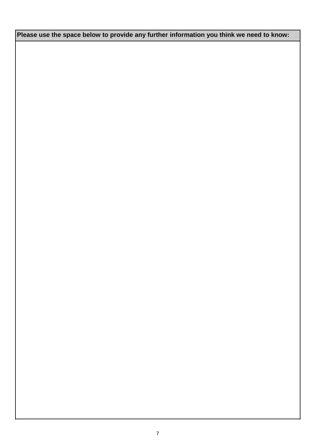**Please use the space below to provide any further information you think we need to know:**